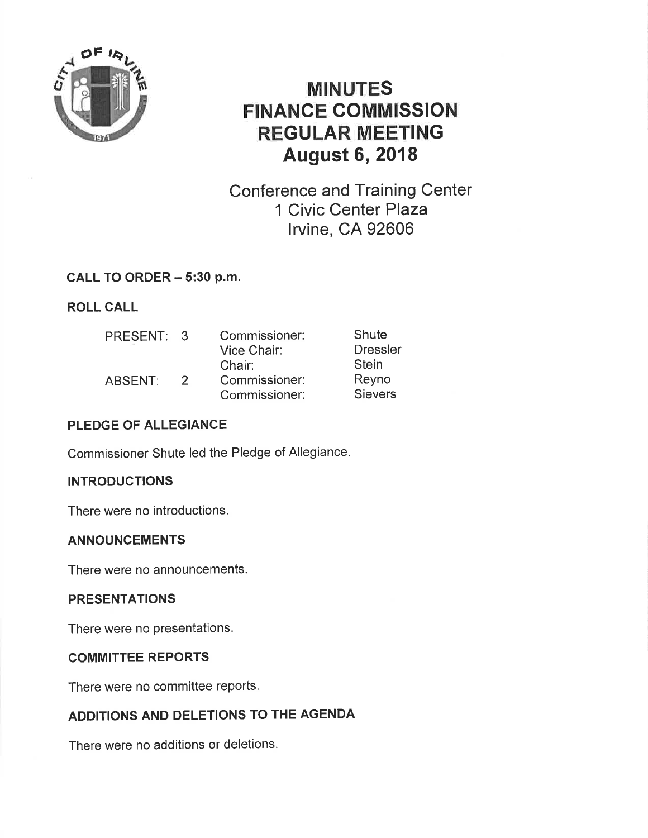

# MINUTES FINANCE COMMISSION REGULAR MEETING August 6,2018

Conference and Training Center 1 Civic Center Plaza lrvine, CA 92606

#### CALL TO ORDER - 5:30 p.m.

ROLL CALL

| PRESENT: | -3            | Commissioner: | Shute           |
|----------|---------------|---------------|-----------------|
|          |               | Vice Chair:   | <b>Dressler</b> |
|          |               | Chair:        | <b>Stein</b>    |
| ABSENT:  | $\mathcal{D}$ | Commissioner: | Reyno           |
|          |               | Commissioner: | <b>Sievers</b>  |

# PLEDGE OF ALLEGIANCE

Commissioner Shute led the Pledge of Allegiance.

# **INTRODUCTIONS**

There were no introductions.

#### ANNOUNCEMENTS

There were no announcements.

#### PRESENTATIONS

There were no presentations.

#### COMMITTEE REPORTS

There were no committee reports.

# ADDITIONS AND DELETIONS TO THE AGENDA

There were no additions or deletions.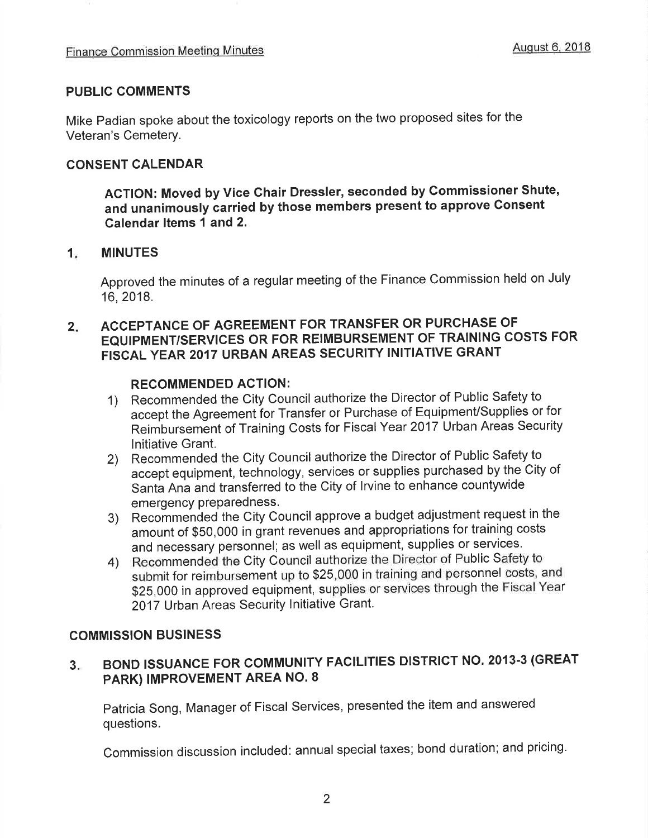#### PUBLIC COMMENTS

Mike Padian spoke about the toxicology reports on the two proposed sites for the Veteran's Cemetery,

#### CONSENT CALENDAR

ACTION: Moved by Vice Chair Dresster, seconded by Commissioner Shute, and unanimously carried by those members present to approve Consent Galendar ltems 1 and 2.

#### $1<sub>i</sub>$ MINUTES

Approved the minutes of a regular meeting of the Finance Commission held on July 16,2018.

#### 2 ACCEPTANCE OF AGREEMENT FOR TRANSFER OR PURCHASE OF EQUIPMENT/SERVICES OR FOR REIMBURSEMENT OF TRAINING COSTS FOR FISCAL YEAR 2017 URBAN AREAS SECURITY INITIATIVE GRANT

#### RECOMMENDED ACTION:

- 1) Recommended the City Council authorize the Director of Public Safety to accept the Agreement for Transfer or Purchase of Equipment/Supplies or for Reimbursement of Training Costs for Fiscal Year 2017 Urban Areas Security lnitiative Grant.
- 2) Recommended the City Council authorize the Director of Public Safety to accept equipment, technology, services or supplies purchased by the City of Santa Ana and transferred to the City of lrvine to enhance countywide emergency preparedness.
- 3) Recoñrmended the City Council approve a budget adjustment request in the amount of \$50,000 in grant revenues and appropriations for training costs and necessary personnel; as well as equipment, supplies or servjces.
- 4) Recommended the City Council authorize the Director of Public Safety to submit for reimbursement up to \$25,000 in training and personnel costs, and \$25,000 in approved equipment, supplies or services through the Fiscal Year 2017 Urban Areas Security lnitiative Grant.

#### COMMISSION BUSINESS

#### BOND ISSUANCE FOR COMMUNITY FACILITIES DISTRICT NO. 2013-3 (GREAT PARK) IMPROVEMENT AREA NO. 8 3.

patricia Song, Manager of Fiscal Services, presented the item and answered questions.

Commission discussion included: annual special taxes; bond duration; and pricing'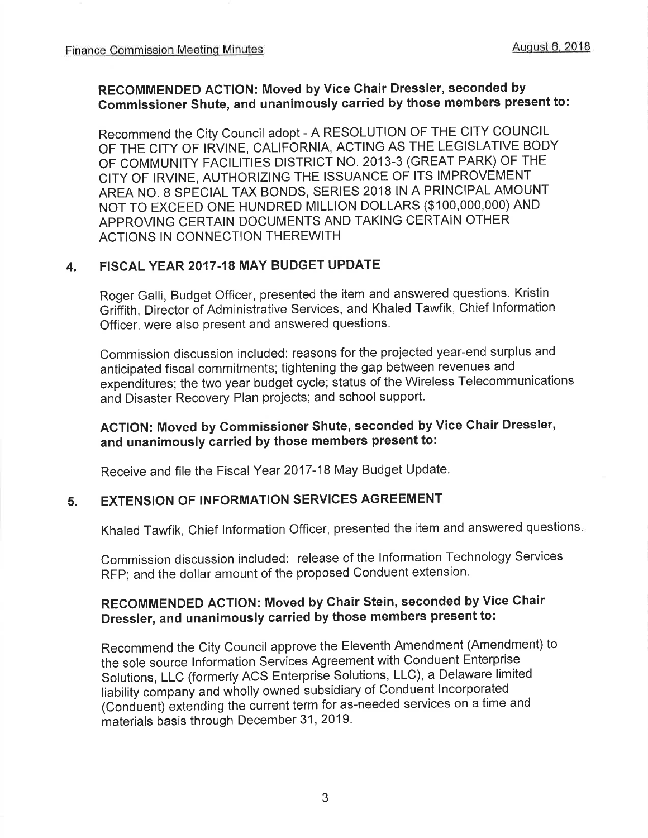#### RECOMMENDED ACTION: Moved by Vice Ghair Dressler, seconded by Commissioner Shute, and unanimously carried by those members present to:

Recommend the City Council adopt - A RESOLUTION OF THE CITY COUNCIL OF THE CITY OF IRVINE, CALIFORNIA, ACTING AS THE LEGISLATIVE BODY oF CoMMUNITY FACILITIES DISTRICT NO. 2013-3 (GREAT PARK) OF THE CITY OF IRVINE, AUTHORIZING THE ISSUANCE OF ITS IMPROVEMENT AREA NO. 8 SPECIAL TAX BONDS, SERIES 2018 IN A PRINCIPAL AMOUNT NOT TO EXCEED ONE HUNDRED MILLION DOLLARS (\$100,000,000) AND APPROVING CERTAIN DOCUMENTS AND TAKING CERTAIN OTHER ACTIONS IN CONNECTION THEREWITH

#### 4. FISCAL YEAR 2017.18 MAY BUDGET UPDATE

Roger Galli, Budget Officer, presented the item and answered questions. Kristin Griffith, Director of Administrative Services, and Khaled Tawfik, Chief lnformation Officer, were also present and answered questions.

Commission discussion included: reasons for the projected year-end surplus and anticipated fiscal commitments; tightening the gap between revenues and expenditures; the two year budget cycle; status of the Wireless Telecommunications and Disaster Recovery Plan projects; and school support.

#### AGTION: Moved by Commissioner Shute, seconded by Vice Chair Dressler, and unanimously carried by those members present to:

Receive and file the Fiscal Year 2017-18 May Budget Update.

#### 5. EXTENSION OF INFORMATION SERVICES AGREEMENT

Khaled Tawfik, Chief lnformation Officer, presented the item and answered questions

Commission discussion included: release of the lnformation Technology Services RFP; and the dollar amount of the proposed Conduent extension.

# RECOMMENDED AGTION: Moved by Chair Stein, seconded by Vice Ghair Dressler, and unanimously carried by those members present to:

Recommend the City Council approve the Eleventh Amendment (Amendment) to the sole source lnformation Services Agreement with Conduent Enterprise Solutions, LLC (formerly ACS Enterprise Solutions, LLC), a Delaware limited liability company and wholly owned subsidiary of Conduent lncorporated (Conduent) extending the current term for as-needed services on a time and materials basis through December 31,2019.